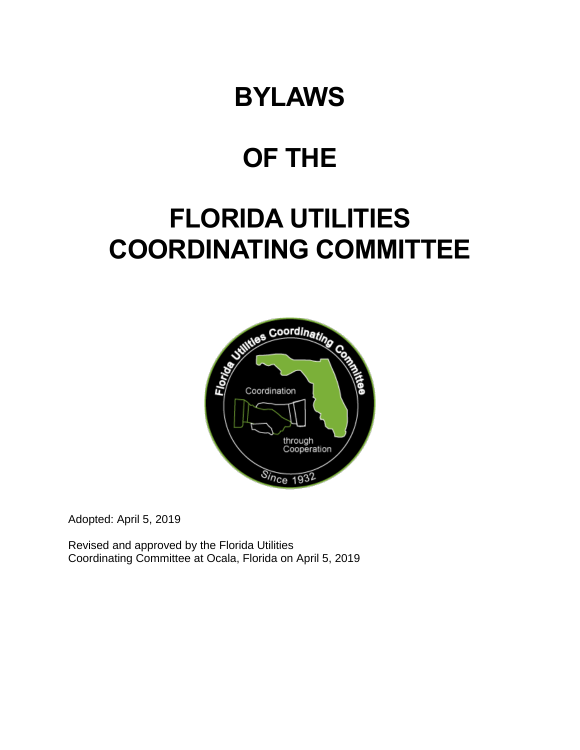# **BYLAWS**

# **OF THE**

# **FLORIDA UTILITIES COORDINATING COMMITTEE**



Adopted: April 5, 2019

Revised and approved by the Florida Utilities Coordinating Committee at Ocala, Florida on April 5, 2019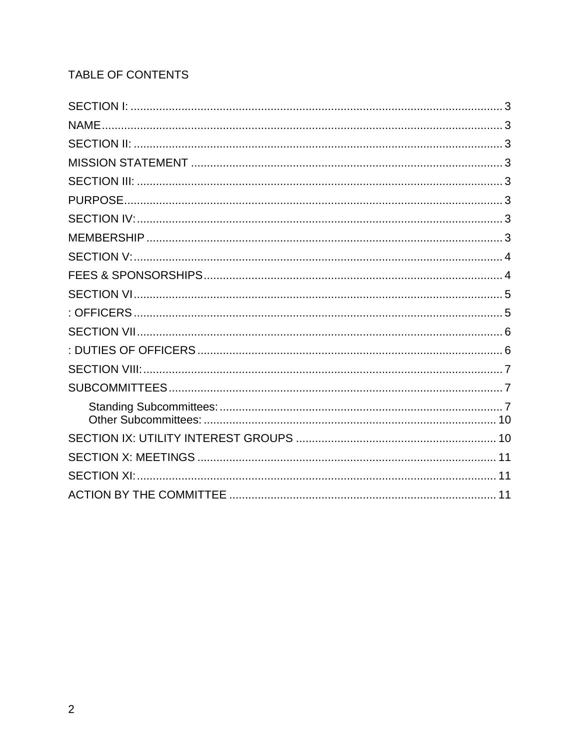# TABLE OF CONTENTS

| <b>NAME</b> |  |
|-------------|--|
|             |  |
|             |  |
|             |  |
|             |  |
|             |  |
|             |  |
|             |  |
|             |  |
|             |  |
|             |  |
|             |  |
|             |  |
|             |  |
|             |  |
|             |  |
|             |  |
|             |  |
|             |  |
|             |  |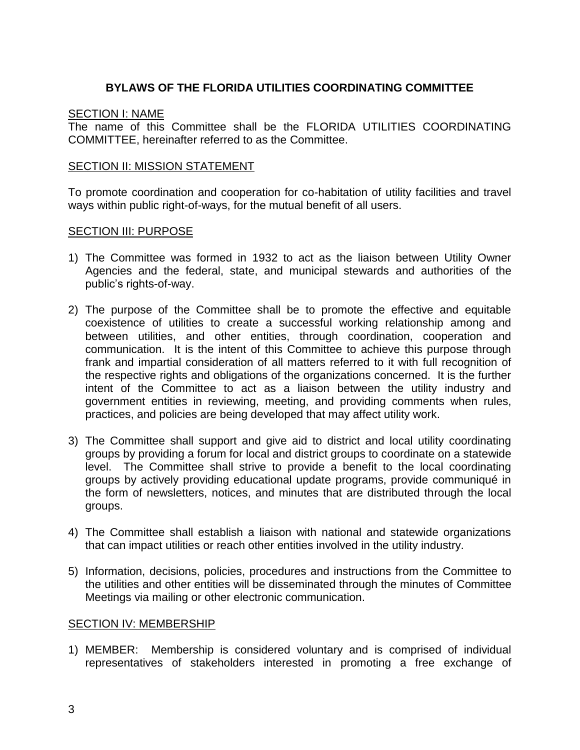# <span id="page-2-1"></span>**BYLAWS OF THE FLORIDA UTILITIES COORDINATING COMMITTEE**

## <span id="page-2-0"></span>**SECTION I: NAME**

The name of this Committee shall be the FLORIDA UTILITIES COORDINATING COMMITTEE, hereinafter referred to as the Committee.

#### <span id="page-2-3"></span><span id="page-2-2"></span>**SECTION II: MISSION STATEMENT**

To promote coordination and cooperation for co-habitation of utility facilities and travel ways within public right-of-ways, for the mutual benefit of all users.

#### <span id="page-2-5"></span><span id="page-2-4"></span>SECTION III: PURPOSE

- 1) The Committee was formed in 1932 to act as the liaison between Utility Owner Agencies and the federal, state, and municipal stewards and authorities of the public's rights-of-way.
- 2) The purpose of the Committee shall be to promote the effective and equitable coexistence of utilities to create a successful working relationship among and between utilities, and other entities, through coordination, cooperation and communication. It is the intent of this Committee to achieve this purpose through frank and impartial consideration of all matters referred to it with full recognition of the respective rights and obligations of the organizations concerned. It is the further intent of the Committee to act as a liaison between the utility industry and government entities in reviewing, meeting, and providing comments when rules, practices, and policies are being developed that may affect utility work.
- 3) The Committee shall support and give aid to district and local utility coordinating groups by providing a forum for local and district groups to coordinate on a statewide level. The Committee shall strive to provide a benefit to the local coordinating groups by actively providing educational update programs, provide communiqué in the form of newsletters, notices, and minutes that are distributed through the local groups.
- 4) The Committee shall establish a liaison with national and statewide organizations that can impact utilities or reach other entities involved in the utility industry.
- 5) Information, decisions, policies, procedures and instructions from the Committee to the utilities and other entities will be disseminated through the minutes of Committee Meetings via mailing or other electronic communication.

#### <span id="page-2-7"></span><span id="page-2-6"></span>SECTION IV: MEMBERSHIP

1) MEMBER: Membership is considered voluntary and is comprised of individual representatives of stakeholders interested in promoting a free exchange of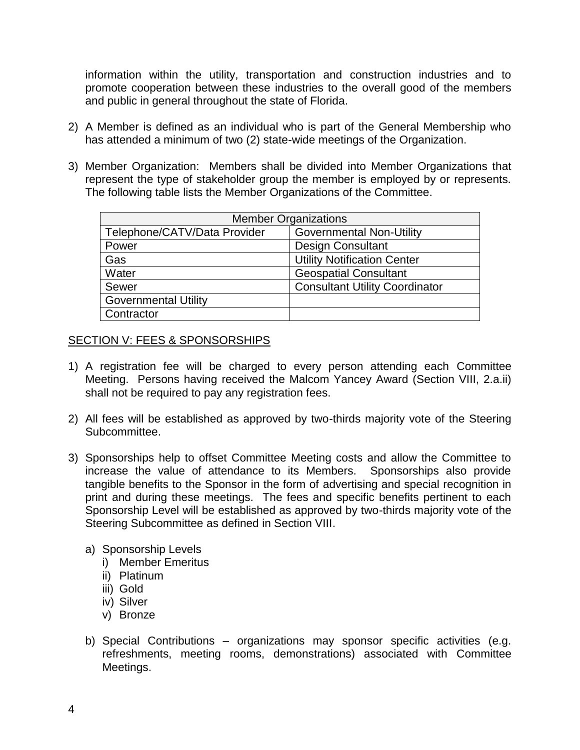information within the utility, transportation and construction industries and to promote cooperation between these industries to the overall good of the members and public in general throughout the state of Florida.

- 2) A Member is defined as an individual who is part of the General Membership who has attended a minimum of two (2) state-wide meetings of the Organization.
- 3) Member Organization: Members shall be divided into Member Organizations that represent the type of stakeholder group the member is employed by or represents. The following table lists the Member Organizations of the Committee.

| <b>Member Organizations</b>  |                                       |
|------------------------------|---------------------------------------|
| Telephone/CATV/Data Provider | <b>Governmental Non-Utility</b>       |
| Power                        | <b>Design Consultant</b>              |
| Gas                          | <b>Utility Notification Center</b>    |
| Water                        | <b>Geospatial Consultant</b>          |
| Sewer                        | <b>Consultant Utility Coordinator</b> |
| <b>Governmental Utility</b>  |                                       |
| Contractor                   |                                       |

### <span id="page-3-1"></span><span id="page-3-0"></span>SECTION V: FEES & SPONSORSHIPS

- 1) A registration fee will be charged to every person attending each Committee Meeting. Persons having received the Malcom Yancey Award (Section VIII, 2.a.ii) shall not be required to pay any registration fees.
- 2) All fees will be established as approved by two-thirds majority vote of the Steering Subcommittee.
- 3) Sponsorships help to offset Committee Meeting costs and allow the Committee to increase the value of attendance to its Members. Sponsorships also provide tangible benefits to the Sponsor in the form of advertising and special recognition in print and during these meetings. The fees and specific benefits pertinent to each Sponsorship Level will be established as approved by two-thirds majority vote of the Steering Subcommittee as defined in Section VIII.
	- a) Sponsorship Levels
		- i) Member Emeritus
		- ii) Platinum
		- iii) Gold
		- iv) Silver
		- v) Bronze
	- b) Special Contributions organizations may sponsor specific activities (e.g. refreshments, meeting rooms, demonstrations) associated with Committee Meetings.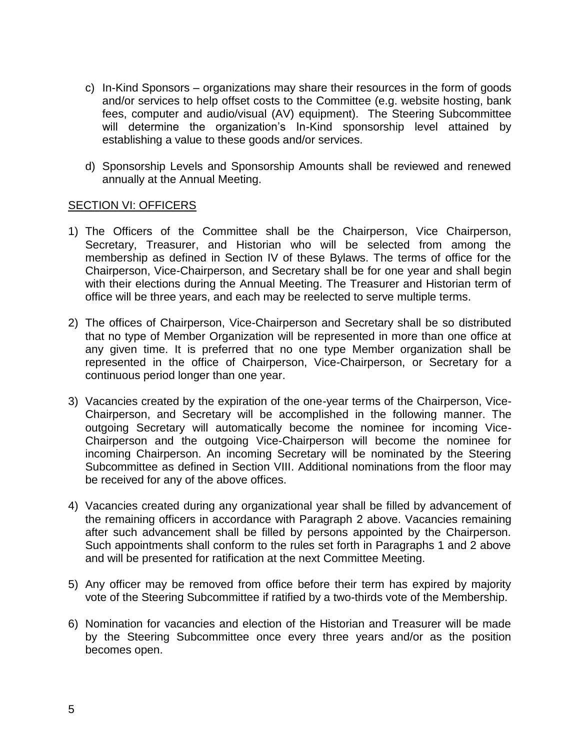- c) In-Kind Sponsors organizations may share their resources in the form of goods and/or services to help offset costs to the Committee (e.g. website hosting, bank fees, computer and audio/visual (AV) equipment). The Steering Subcommittee will determine the organization's In-Kind sponsorship level attained by establishing a value to these goods and/or services.
- <span id="page-4-1"></span>d) Sponsorship Levels and Sponsorship Amounts shall be reviewed and renewed annually at the Annual Meeting.

#### <span id="page-4-0"></span>SECTION VI: OFFICERS

- 1) The Officers of the Committee shall be the Chairperson, Vice Chairperson, Secretary, Treasurer, and Historian who will be selected from among the membership as defined in Section IV of these Bylaws. The terms of office for the Chairperson, Vice-Chairperson, and Secretary shall be for one year and shall begin with their elections during the Annual Meeting. The Treasurer and Historian term of office will be three years, and each may be reelected to serve multiple terms.
- 2) The offices of Chairperson, Vice-Chairperson and Secretary shall be so distributed that no type of Member Organization will be represented in more than one office at any given time. It is preferred that no one type Member organization shall be represented in the office of Chairperson, Vice-Chairperson, or Secretary for a continuous period longer than one year.
- 3) Vacancies created by the expiration of the one-year terms of the Chairperson, Vice-Chairperson, and Secretary will be accomplished in the following manner. The outgoing Secretary will automatically become the nominee for incoming Vice-Chairperson and the outgoing Vice-Chairperson will become the nominee for incoming Chairperson. An incoming Secretary will be nominated by the Steering Subcommittee as defined in Section VIII. Additional nominations from the floor may be received for any of the above offices.
- 4) Vacancies created during any organizational year shall be filled by advancement of the remaining officers in accordance with Paragraph 2 above. Vacancies remaining after such advancement shall be filled by persons appointed by the Chairperson. Such appointments shall conform to the rules set forth in Paragraphs 1 and 2 above and will be presented for ratification at the next Committee Meeting.
- 5) Any officer may be removed from office before their term has expired by majority vote of the Steering Subcommittee if ratified by a two-thirds vote of the Membership.
- 6) Nomination for vacancies and election of the Historian and Treasurer will be made by the Steering Subcommittee once every three years and/or as the position becomes open.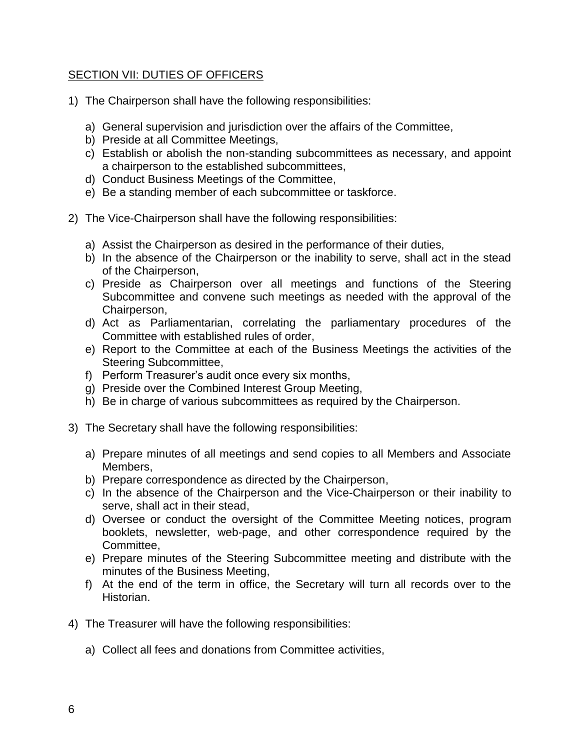## <span id="page-5-1"></span><span id="page-5-0"></span>SECTION VII: DUTIES OF OFFICERS

- 1) The Chairperson shall have the following responsibilities:
	- a) General supervision and jurisdiction over the affairs of the Committee,
	- b) Preside at all Committee Meetings,
	- c) Establish or abolish the non-standing subcommittees as necessary, and appoint a chairperson to the established subcommittees,
	- d) Conduct Business Meetings of the Committee,
	- e) Be a standing member of each subcommittee or taskforce.
- 2) The Vice-Chairperson shall have the following responsibilities:
	- a) Assist the Chairperson as desired in the performance of their duties,
	- b) In the absence of the Chairperson or the inability to serve, shall act in the stead of the Chairperson,
	- c) Preside as Chairperson over all meetings and functions of the Steering Subcommittee and convene such meetings as needed with the approval of the Chairperson,
	- d) Act as Parliamentarian, correlating the parliamentary procedures of the Committee with established rules of order,
	- e) Report to the Committee at each of the Business Meetings the activities of the Steering Subcommittee,
	- f) Perform Treasurer's audit once every six months,
	- g) Preside over the Combined Interest Group Meeting,
	- h) Be in charge of various subcommittees as required by the Chairperson.
- 3) The Secretary shall have the following responsibilities:
	- a) Prepare minutes of all meetings and send copies to all Members and Associate Members,
	- b) Prepare correspondence as directed by the Chairperson,
	- c) In the absence of the Chairperson and the Vice-Chairperson or their inability to serve, shall act in their stead,
	- d) Oversee or conduct the oversight of the Committee Meeting notices, program booklets, newsletter, web-page, and other correspondence required by the Committee,
	- e) Prepare minutes of the Steering Subcommittee meeting and distribute with the minutes of the Business Meeting,
	- f) At the end of the term in office, the Secretary will turn all records over to the Historian.
- 4) The Treasurer will have the following responsibilities:
	- a) Collect all fees and donations from Committee activities,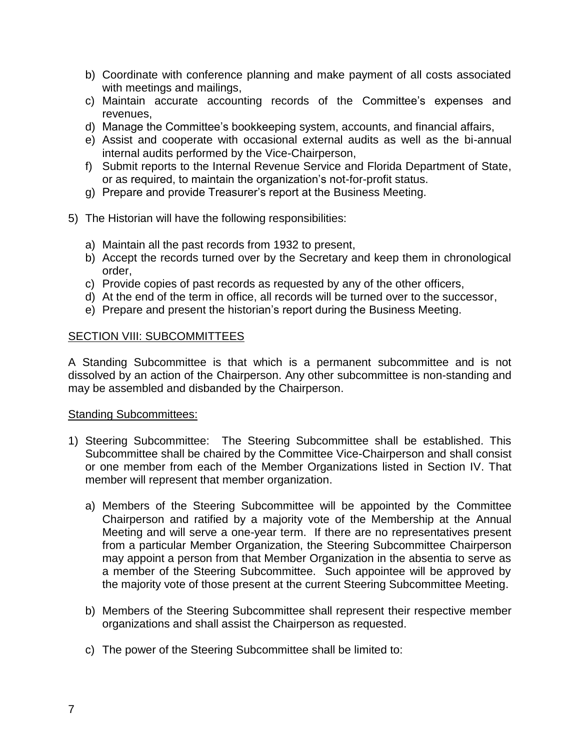- b) Coordinate with conference planning and make payment of all costs associated with meetings and mailings,
- c) Maintain accurate accounting records of the Committee's expenses and revenues,
- d) Manage the Committee's bookkeeping system, accounts, and financial affairs,
- e) Assist and cooperate with occasional external audits as well as the bi-annual internal audits performed by the Vice-Chairperson,
- f) Submit reports to the Internal Revenue Service and Florida Department of State, or as required, to maintain the organization's not-for-profit status.
- <span id="page-6-0"></span>g) Prepare and provide Treasurer's report at the Business Meeting.
- 5) The Historian will have the following responsibilities:
	- a) Maintain all the past records from 1932 to present,
	- b) Accept the records turned over by the Secretary and keep them in chronological order,
	- c) Provide copies of past records as requested by any of the other officers,
	- d) At the end of the term in office, all records will be turned over to the successor,
	- e) Prepare and present the historian's report during the Business Meeting.

### <span id="page-6-1"></span>SECTION VIII: SUBCOMMITTEES

A Standing Subcommittee is that which is a permanent subcommittee and is not dissolved by an action of the Chairperson. Any other subcommittee is non-standing and may be assembled and disbanded by the Chairperson.

### <span id="page-6-2"></span>Standing Subcommittees:

- 1) Steering Subcommittee: The Steering Subcommittee shall be established. This Subcommittee shall be chaired by the Committee Vice-Chairperson and shall consist or one member from each of the Member Organizations listed in Section IV. That member will represent that member organization.
	- a) Members of the Steering Subcommittee will be appointed by the Committee Chairperson and ratified by a majority vote of the Membership at the Annual Meeting and will serve a one-year term. If there are no representatives present from a particular Member Organization, the Steering Subcommittee Chairperson may appoint a person from that Member Organization in the absentia to serve as a member of the Steering Subcommittee. Such appointee will be approved by the majority vote of those present at the current Steering Subcommittee Meeting.
	- b) Members of the Steering Subcommittee shall represent their respective member organizations and shall assist the Chairperson as requested.
	- c) The power of the Steering Subcommittee shall be limited to: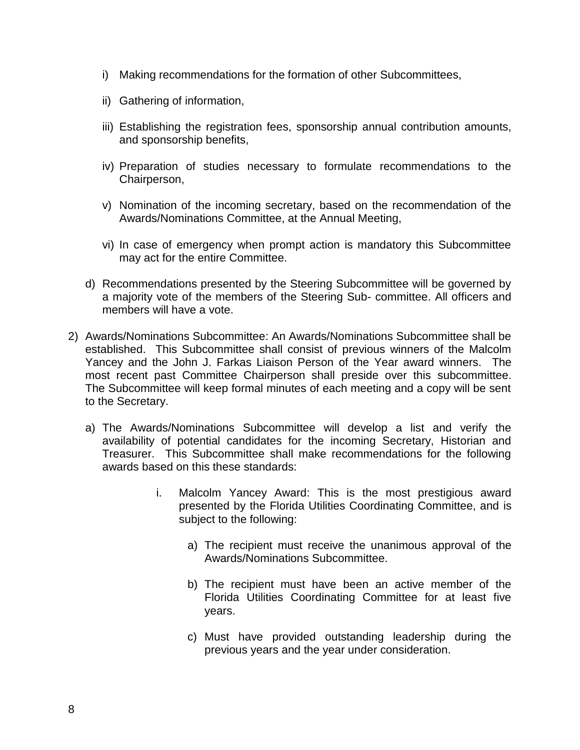- i) Making recommendations for the formation of other Subcommittees,
- ii) Gathering of information,
- iii) Establishing the registration fees, sponsorship annual contribution amounts, and sponsorship benefits,
- iv) Preparation of studies necessary to formulate recommendations to the Chairperson,
- v) Nomination of the incoming secretary, based on the recommendation of the Awards/Nominations Committee, at the Annual Meeting,
- vi) In case of emergency when prompt action is mandatory this Subcommittee may act for the entire Committee.
- d) Recommendations presented by the Steering Subcommittee will be governed by a majority vote of the members of the Steering Sub- committee. All officers and members will have a vote.
- 2) Awards/Nominations Subcommittee: An Awards/Nominations Subcommittee shall be established. This Subcommittee shall consist of previous winners of the Malcolm Yancey and the John J. Farkas Liaison Person of the Year award winners. The most recent past Committee Chairperson shall preside over this subcommittee. The Subcommittee will keep formal minutes of each meeting and a copy will be sent to the Secretary.
	- a) The Awards/Nominations Subcommittee will develop a list and verify the availability of potential candidates for the incoming Secretary, Historian and Treasurer. This Subcommittee shall make recommendations for the following awards based on this these standards:
		- i. Malcolm Yancey Award: This is the most prestigious award presented by the Florida Utilities Coordinating Committee, and is subject to the following:
			- a) The recipient must receive the unanimous approval of the Awards/Nominations Subcommittee.
			- b) The recipient must have been an active member of the Florida Utilities Coordinating Committee for at least five years.
			- c) Must have provided outstanding leadership during the previous years and the year under consideration.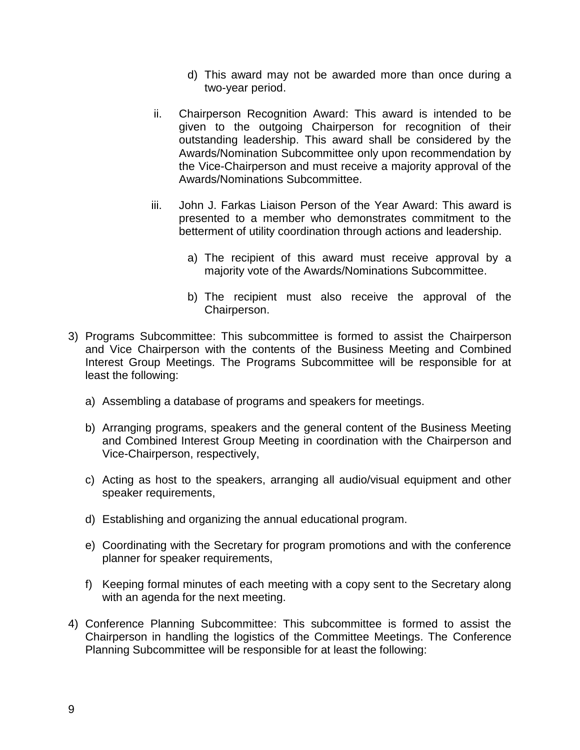- d) This award may not be awarded more than once during a two-year period.
- ii. Chairperson Recognition Award: This award is intended to be given to the outgoing Chairperson for recognition of their outstanding leadership. This award shall be considered by the Awards/Nomination Subcommittee only upon recommendation by the Vice-Chairperson and must receive a majority approval of the Awards/Nominations Subcommittee.
- iii. John J. Farkas Liaison Person of the Year Award: This award is presented to a member who demonstrates commitment to the betterment of utility coordination through actions and leadership.
	- a) The recipient of this award must receive approval by a majority vote of the Awards/Nominations Subcommittee.
	- b) The recipient must also receive the approval of the Chairperson.
- 3) Programs Subcommittee: This subcommittee is formed to assist the Chairperson and Vice Chairperson with the contents of the Business Meeting and Combined Interest Group Meetings. The Programs Subcommittee will be responsible for at least the following:
	- a) Assembling a database of programs and speakers for meetings.
	- b) Arranging programs, speakers and the general content of the Business Meeting and Combined Interest Group Meeting in coordination with the Chairperson and Vice-Chairperson, respectively,
	- c) Acting as host to the speakers, arranging all audio/visual equipment and other speaker requirements,
	- d) Establishing and organizing the annual educational program.
	- e) Coordinating with the Secretary for program promotions and with the conference planner for speaker requirements,
	- f) Keeping formal minutes of each meeting with a copy sent to the Secretary along with an agenda for the next meeting.
- 4) Conference Planning Subcommittee: This subcommittee is formed to assist the Chairperson in handling the logistics of the Committee Meetings. The Conference Planning Subcommittee will be responsible for at least the following: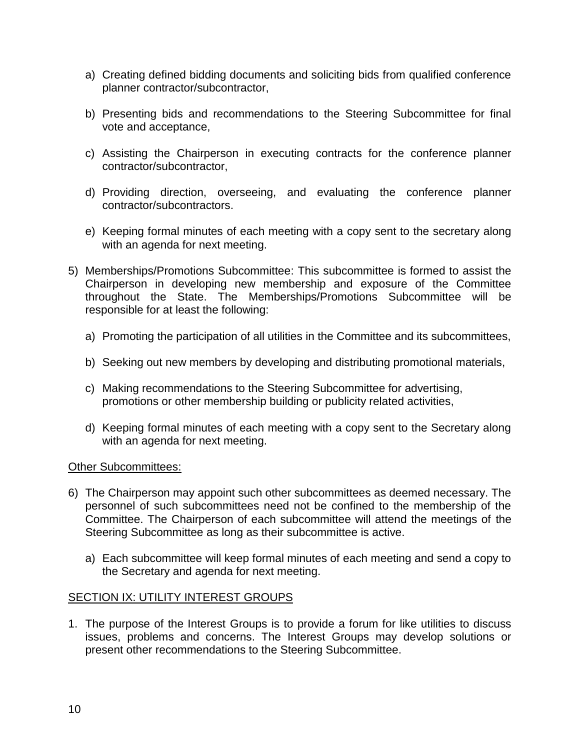- a) Creating defined bidding documents and soliciting bids from qualified conference planner contractor/subcontractor,
- b) Presenting bids and recommendations to the Steering Subcommittee for final vote and acceptance,
- c) Assisting the Chairperson in executing contracts for the conference planner contractor/subcontractor,
- d) Providing direction, overseeing, and evaluating the conference planner contractor/subcontractors.
- e) Keeping formal minutes of each meeting with a copy sent to the secretary along with an agenda for next meeting.
- 5) Memberships/Promotions Subcommittee: This subcommittee is formed to assist the Chairperson in developing new membership and exposure of the Committee throughout the State. The Memberships/Promotions Subcommittee will be responsible for at least the following:
	- a) Promoting the participation of all utilities in the Committee and its subcommittees,
	- b) Seeking out new members by developing and distributing promotional materials,
	- c) Making recommendations to the Steering Subcommittee for advertising, promotions or other membership building or publicity related activities,
	- d) Keeping formal minutes of each meeting with a copy sent to the Secretary along with an agenda for next meeting.

### <span id="page-9-0"></span>Other Subcommittees:

- 6) The Chairperson may appoint such other subcommittees as deemed necessary. The personnel of such subcommittees need not be confined to the membership of the Committee. The Chairperson of each subcommittee will attend the meetings of the Steering Subcommittee as long as their subcommittee is active.
	- a) Each subcommittee will keep formal minutes of each meeting and send a copy to the Secretary and agenda for next meeting.

### <span id="page-9-1"></span>SECTION IX: UTILITY INTEREST GROUPS

1. The purpose of the Interest Groups is to provide a forum for like utilities to discuss issues, problems and concerns. The Interest Groups may develop solutions or present other recommendations to the Steering Subcommittee.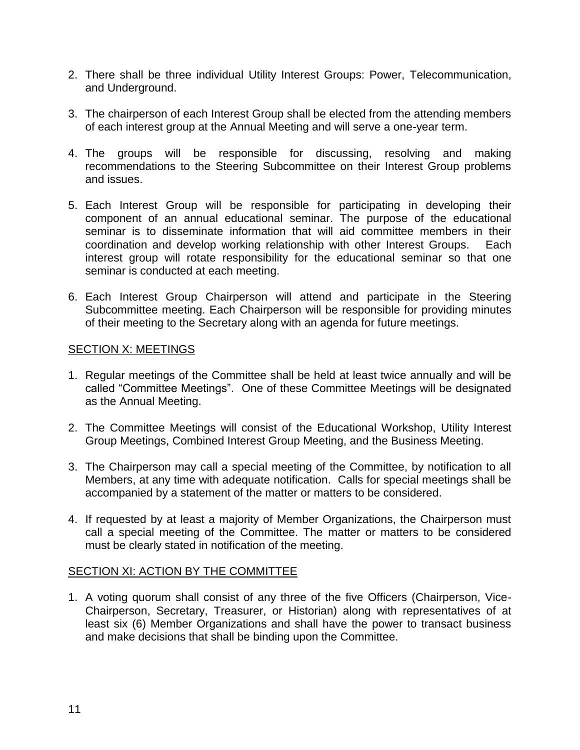- 2. There shall be three individual Utility Interest Groups: Power, Telecommunication, and Underground.
- 3. The chairperson of each Interest Group shall be elected from the attending members of each interest group at the Annual Meeting and will serve a one-year term.
- 4. The groups will be responsible for discussing, resolving and making recommendations to the Steering Subcommittee on their Interest Group problems and issues.
- 5. Each Interest Group will be responsible for participating in developing their component of an annual educational seminar. The purpose of the educational seminar is to disseminate information that will aid committee members in their coordination and develop working relationship with other Interest Groups. Each interest group will rotate responsibility for the educational seminar so that one seminar is conducted at each meeting.
- 6. Each Interest Group Chairperson will attend and participate in the Steering Subcommittee meeting. Each Chairperson will be responsible for providing minutes of their meeting to the Secretary along with an agenda for future meetings.

#### <span id="page-10-0"></span>SECTION X: MEETINGS

- 1. Regular meetings of the Committee shall be held at least twice annually and will be called "Committee Meetings". One of these Committee Meetings will be designated as the Annual Meeting.
- 2. The Committee Meetings will consist of the Educational Workshop, Utility Interest Group Meetings, Combined Interest Group Meeting, and the Business Meeting.
- 3. The Chairperson may call a special meeting of the Committee, by notification to all Members, at any time with adequate notification. Calls for special meetings shall be accompanied by a statement of the matter or matters to be considered.
- 4. If requested by at least a majority of Member Organizations, the Chairperson must call a special meeting of the Committee. The matter or matters to be considered must be clearly stated in notification of the meeting.

### <span id="page-10-2"></span><span id="page-10-1"></span>SECTION XI: ACTION BY THE COMMITTEE

1. A voting quorum shall consist of any three of the five Officers (Chairperson, Vice-Chairperson, Secretary, Treasurer, or Historian) along with representatives of at least six (6) Member Organizations and shall have the power to transact business and make decisions that shall be binding upon the Committee.